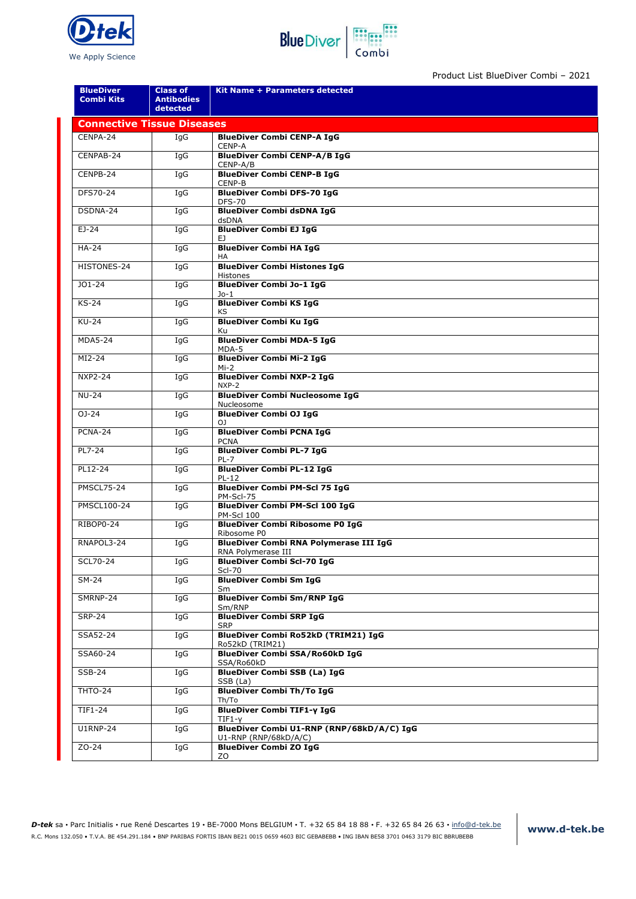



Product List BlueDiver Combi – 2021

| <b>BlueDiver</b><br><b>Combi Kits</b> | <b>Class of</b><br><b>Antibodies</b><br>detected | Kit Name + Parameters detected                                      |  |  |  |  |
|---------------------------------------|--------------------------------------------------|---------------------------------------------------------------------|--|--|--|--|
| <b>Connective Tissue Diseases</b>     |                                                  |                                                                     |  |  |  |  |
| CENPA-24                              | IgG                                              | <b>BlueDiver Combi CENP-A IgG</b><br>CENP-A                         |  |  |  |  |
| CENPAB-24                             | IgG                                              | <b>BlueDiver Combi CENP-A/B IgG</b><br>CENP-A/B                     |  |  |  |  |
| CENPB-24                              | IgG                                              | <b>BlueDiver Combi CENP-B IgG</b><br>CENP-B                         |  |  |  |  |
| DFS70-24                              | IgG                                              | <b>BlueDiver Combi DFS-70 IgG</b><br><b>DFS-70</b>                  |  |  |  |  |
| DSDNA-24                              | IgG                                              | <b>BlueDiver Combi dsDNA IgG</b><br>dsDNA                           |  |  |  |  |
| $EJ-24$                               | IqG                                              | <b>BlueDiver Combi EJ IgG</b><br>EJ.                                |  |  |  |  |
| <b>HA-24</b>                          | IgG                                              | <b>BlueDiver Combi HA IgG</b><br>ΗA                                 |  |  |  |  |
| HISTONES-24                           | IgG                                              | <b>BlueDiver Combi Histones IgG</b><br><b>Histones</b>              |  |  |  |  |
| $JO1-24$                              | IgG                                              | <b>BlueDiver Combi Jo-1 IgG</b><br>Jo-1                             |  |  |  |  |
| KS-24                                 | IgG                                              | <b>BlueDiver Combi KS IgG</b><br>ΚS                                 |  |  |  |  |
| <b>KU-24</b>                          | IgG                                              | <b>BlueDiver Combi Ku IgG</b><br>Ku                                 |  |  |  |  |
| <b>MDA5-24</b>                        | IgG                                              | <b>BlueDiver Combi MDA-5 IgG</b><br>MDA-5                           |  |  |  |  |
| MI2-24                                | IgG                                              | <b>BlueDiver Combi Mi-2 IgG</b><br>Mi-2                             |  |  |  |  |
| <b>NXP2-24</b>                        | IgG                                              | <b>BlueDiver Combi NXP-2 IgG</b><br>NXP-2                           |  |  |  |  |
| <b>NU-24</b>                          | IgG                                              | <b>BlueDiver Combi Nucleosome IgG</b><br>Nucleosome                 |  |  |  |  |
| $OJ - 24$                             | IgG                                              | <b>BlueDiver Combi OJ IgG</b><br>OJ                                 |  |  |  |  |
| PCNA-24                               | IgG                                              | <b>BlueDiver Combi PCNA IgG</b><br><b>PCNA</b>                      |  |  |  |  |
| PL7-24                                | IgG                                              | <b>BlueDiver Combi PL-7 IgG</b><br>PL-7                             |  |  |  |  |
| PL12-24                               | IgG                                              | <b>BlueDiver Combi PL-12 IgG</b><br>PL-12                           |  |  |  |  |
| <b>PMSCL75-24</b>                     | IgG                                              | <b>BlueDiver Combi PM-Scl 75 IgG</b><br>PM-Scl-75                   |  |  |  |  |
| <b>PMSCL100-24</b>                    | IgG                                              | <b>BlueDiver Combi PM-Scl 100 IgG</b><br><b>PM-Scl 100</b>          |  |  |  |  |
| RIBOP0-24                             | IgG                                              | <b>BlueDiver Combi Ribosome P0 IgG</b><br>Ribosome P0               |  |  |  |  |
| RNAPOL3-24                            | IqG                                              | <b>BlueDiver Combi RNA Polymerase III IgG</b><br>RNA Polymerase III |  |  |  |  |
| SCL70-24                              | IgG                                              | <b>BlueDiver Combi Scl-70 IgG</b><br><b>Scl-70</b>                  |  |  |  |  |
| SM-24                                 | IgG                                              | <b>BlueDiver Combi Sm IgG</b><br>Sm                                 |  |  |  |  |
| SMRNP-24                              | IgG                                              | <b>BlueDiver Combi Sm/RNP IgG</b><br>Sm/RNP                         |  |  |  |  |
| <b>SRP-24</b>                         | IqG                                              | <b>BlueDiver Combi SRP IgG</b><br><b>SRP</b>                        |  |  |  |  |
| SSA52-24                              | IgG                                              | BlueDiver Combi Ro52kD (TRIM21) IgG<br>Ro52kD (TRIM21)              |  |  |  |  |
| SSA60-24                              | IgG                                              | <b>BlueDiver Combi SSA/Ro60kD IgG</b><br>SSA/Ro60kD                 |  |  |  |  |
| <b>SSB-24</b>                         | IgG                                              | <b>BlueDiver Combi SSB (La) IgG</b><br>SSB (La)                     |  |  |  |  |
| THTO-24                               | IgG                                              | <b>BlueDiver Combi Th/To IgG</b><br>Th/To                           |  |  |  |  |
| TIF1-24                               | IgG                                              | <b>BlueDiver Combi TIF1-y IgG</b><br>TIF1-y                         |  |  |  |  |
| <b>U1RNP-24</b>                       | IgG                                              | BlueDiver Combi U1-RNP (RNP/68kD/A/C) IgG<br>U1-RNP (RNP/68kD/A/C)  |  |  |  |  |
| ZO-24                                 | IgG                                              | <b>BlueDiver Combi ZO IgG</b><br>ZO                                 |  |  |  |  |